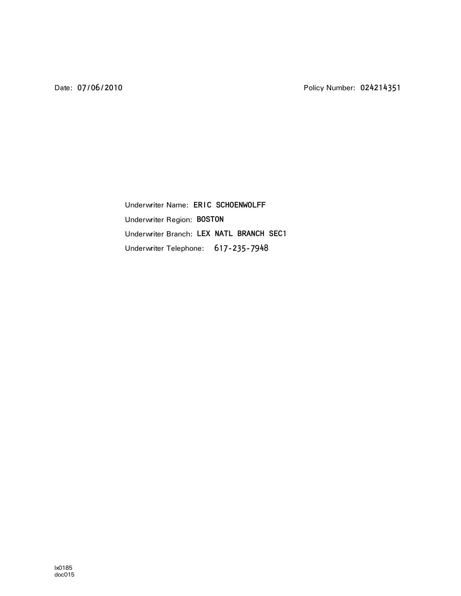Underwriter Name: ERIC SCHOENWOLFF Underwriter Region: BOSTON Underwriter Branch: LEX NATL BRANCH SEC1Underwriter Telephone: 617-235-7948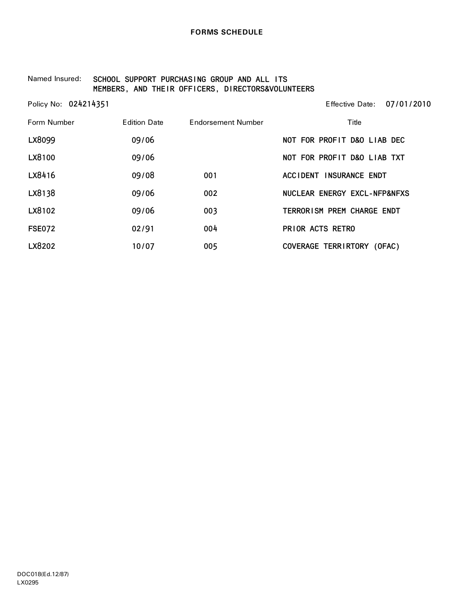#### Named Insured: SCHOOL SUPPORT PURCHASING GROUP AND ALL ITS MEMBERS, AND THEIR OFFICERS, DIRECTORS&VOLUNTEERS

| Policy No: 024214351 |                     |                    | 07/01/2010<br>Effective Date: |
|----------------------|---------------------|--------------------|-------------------------------|
| Form Number          | <b>Edition Date</b> | Endorsement Number | Title                         |
| LX8099               | 09/06               |                    | NOT FOR PROFIT D&O LIAB DEC   |
| LX8100               | 09/06               |                    | NOT FOR PROFIT D&O LIAB TXT   |
| LX8416               | 09/08               | 001                | ACCIDENT INSURANCE ENDT       |
| LX8138               | 09/06               | 002                | NUCLEAR ENERGY EXCL-NFP&NFXS  |
| LX8102               | 09/06               | 003                | TERRORISM PREM CHARGE ENDT    |
| <b>FSE072</b>        | 02/91               | 004                | PRIOR ACTS RETRO              |
| LX8202               | 10/07               | 005                | COVERAGE TERRIRTORY (OFAC)    |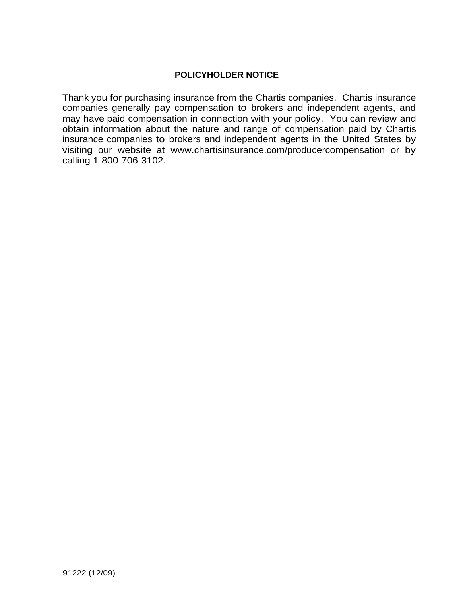# **POLICYHOLDER NOTICE**

Thank you for purchasing insurance from the Chartis companies. Chartis insurance companies generally pay compensation to brokers and independent agents, and may have paid compensation in connection with your policy. You can review and obtain information about the nature and range of compensation paid by Chartis insurance companies to brokers and independent agents in the United States by visiting our website at www.chartisinsurance.com/producercompensation or by calling 1-800-706-3102.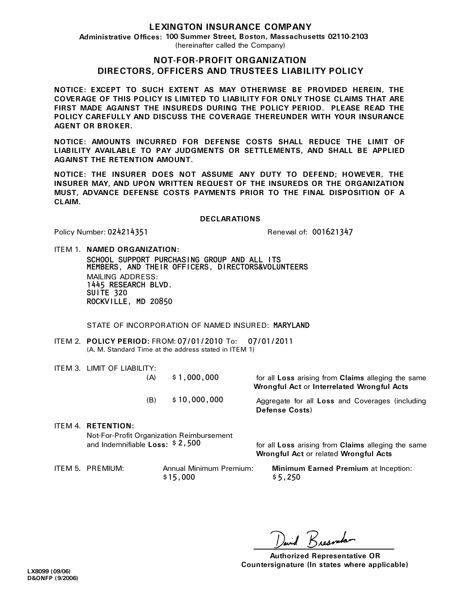## **LEXINGTON INSURANCE COMPANY**

**Administrative Offices: 100 Summer Street, Boston, Massachusetts 02110-2103** (hereinafter called the Company)

### **NOT-FOR-PROFIT ORGANIZATION DIRECTORS, OFFICERS AND TRUSTEES LIABILITY POLICY**

**NOTICE: EXCEPT TO SUCH EXTENT AS MAY OTHERWISE BE PROVIDED HEREIN, THE COVERAGE OF THIS POLICY IS LIMITED TO LIABILITY FOR ONLY THOSE CLAIMS THAT ARE FIRST MADE AGAINST THE INSUREDS DURING THE POLICY PERIOD. PLEASE READ THE POLICY CAREFULLY AND DISCUSS THE COVERAGE THEREUNDER WITH YOUR INSURANCE AGENT OR BROKER.** 

**NOTICE: AMOUNTS INCURRED FOR DEFENSE COSTS SHALL REDUCE THE LIMIT OF LIABILITY AVAILABLE TO PAY JUDGMENTS OR SETTLEMENTS, AND SHALL BE APPLIED AGAINST THE RETENTION AMOUNT.** 

**NOTICE: THE INSURER DOES NOT ASSUME ANY DUTY TO DEFEND; HOWEVER, THE INSURER MAY, AND UPON WRITTEN REQUEST OF THE INSUREDS OR THE ORGANIZATION MUST, ADVANCE DEFENSE COSTS PAYMENTS PRIOR TO THE FINAL DISPOSITION OF A CLAIM.** 

#### **DECLARATIONS**

Policy Number:

024214351 Renewal of: 001621347

ITEM 1. **NAMED ORGANIZATION:**

MAILING ADDRESS: SCHOOL SUPPORT PURCHASING GROUP AND ALL ITS 1445 RESEARCH BLVD. SUITE 320 ROCKVILLE, MD 20850 MEMBERS, AND THEIR OFFICERS, DIRECTORS&VOLUNTEERS

STATE OF INCORPORATION OF NAMED INSURED: MARYLAND

- ITEM 2. POLICY PERIOD: FROM: 07/01/2010 To: 07/01/2011 (A. M. Standard Time at the address stated in ITEM 1)
- ITEM 3. LIMIT OF LIABILITY:

| (A) | \$1,000,000  |  |
|-----|--------------|--|
| (B) | \$10,000,000 |  |

for all **Loss** arising from **Claims** alleging the same  **Wrongful Act** or **Interrelated Wrongful Acts** 

Aggregate for all **Loss** and Coverages (including **Defense Costs**)

ITEM 4. **RETENTION:** and Indemnifiable Loss: \$2,500 Not-For-Profit Organization Reimbursement

for all **Loss** arising from **Claims** alleging the same **Wrongful Act** or related **Wrongful Acts** 

 $$15,000$ 

ITEM 5**.** PREMIUM: Annual Minimum Premium: **Minimum Earned Premium** at Inception:  $$5,250$ 

und Reggenda

**Authorized Representative OR Countersignature (In states where applicable)**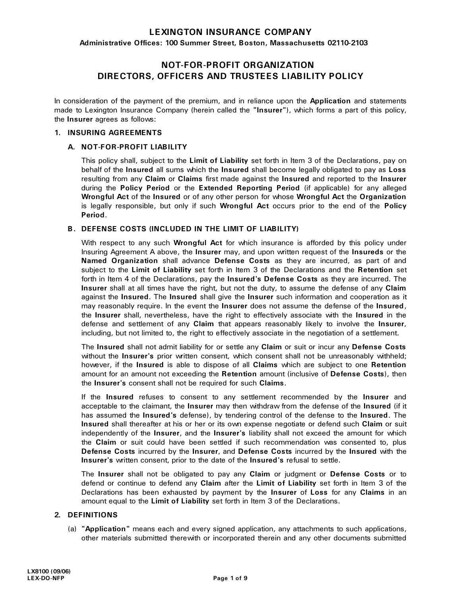## **LEXINGTON INSURANCE COMPANY**

**Administrative Offices: 100 Summer Street, Boston, Massachusetts 02110-2103**

# **NOT-FOR-PROFIT ORGANIZATION DIRECTORS, OFFICERS AND TRUSTEES LIABILITY POLICY**

In consideration of the payment of the premium, and in reliance upon the **Application** and statements made to Lexington Insurance Company (herein called the **"Insurer"**), which forms a part of this policy, the **Insurer** agrees as follows:

#### **1. INSURING AGREEMENTS**

#### **A. NOT-FOR-PROFIT LIABILITY**

This policy shall, subject to the **Limit of Liability** set forth in Item 3 of the Declarations, pay on behalf of the **Insured** all sums which the **Insured** shall become legally obligated to pay as **Loss** resulting from any **Claim** or **Claims** first made against the **Insured** and reported to the **Insurer** during the **Policy Period** or the **Extended Reporting Period** (if applicable) for any alleged **Wrongful Act** of the **Insured** or of any other person for whose **Wrongful Act** the **Organization** is legally responsible, but only if such **Wrongful Act** occurs prior to the end of the **Policy Period**.

#### **B. DEFENSE COSTS (INCLUDED IN THE LIMIT OF LIABILITY)**

With respect to any such **Wrongful Act** for which insurance is afforded by this policy under Insuring Agreement A above, the **Insurer** may, and upon written request of the **Insureds** or the **Named Organization** shall advance **Defense Costs** as they are incurred, as part of and subject to the **Limit of Liability** set forth in Item 3 of the Declarations and the **Retention** set forth in Item 4 of the Declarations, pay the **Insured's Defense Costs** as they are incurred. The **Insurer** shall at all times have the right, but not the duty, to assume the defense of any **Claim** against the **Insured**. The **Insured** shall give the **Insurer** such information and cooperation as it may reasonably require. In the event the **Insurer** does not assume the defense of the **Insured**, the **Insurer** shall, nevertheless, have the right to effectively associate with the **Insured** in the defense and settlement of any **Claim** that appears reasonably likely to involve the **Insurer**, including, but not limited to, the right to effectively associate in the negotiation of a settlement.

The **Insured** shall not admit liability for or settle any **Claim** or suit or incur any **Defense Costs** without the **Insurer's** prior written consent, which consent shall not be unreasonably withheld; however, if the **Insured** is able to dispose of all **Claims** which are subject to one **Retention** amount for an amount not exceeding the **Retention** amount (inclusive of **Defense Costs**), then the **Insurer's** consent shall not be required for such **Claims**.

If the **Insured** refuses to consent to any settlement recommended by the **Insurer** and acceptable to the claimant, the **Insurer** may then withdraw from the defense of the **Insured** (if it has assumed the **Insured's** defense), by tendering control of the defense to the **Insured**. The **Insured** shall thereafter at his or her or its own expense negotiate or defend such **Claim** or suit independently of the **Insurer**, and the **Insurer's** liability shall not exceed the amount for which the **Claim** or suit could have been settled if such recommendation was consented to, plus **Defense Costs** incurred by the **Insurer**, and **Defense Costs** incurred by the **Insured** with the **Insurer's** written consent, prior to the date of the **Insured's** refusal to settle.

The **Insurer** shall not be obligated to pay any **Claim** or judgment or **Defense Costs** or to defend or continue to defend any **Claim** after the **Limit of Liability** set forth in Item 3 of the Declarations has been exhausted by payment by the **Insurer** of **Loss** for any **Claims** in an amount equal to the **Limit of Liability** set forth in Item 3 of the Declarations.

#### **2. DEFINITIONS**

(a) **"Application"** means each and every signed application, any attachments to such applications, other materials submitted therewith or incorporated therein and any other documents submitted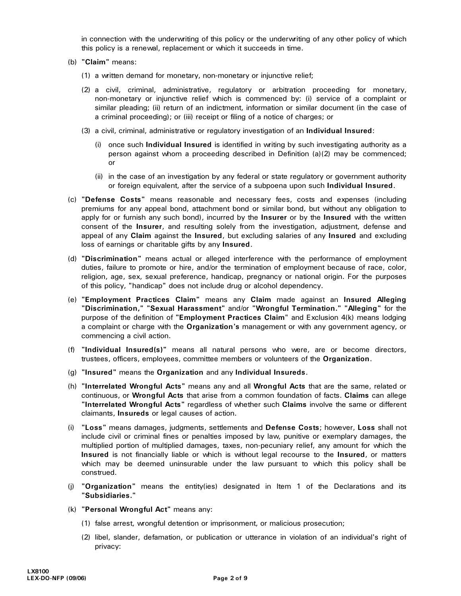in connection with the underwriting of this policy or the underwriting of any other policy of which this policy is a renewal, replacement or which it succeeds in time.

- (b) **"Claim"** means:
	- (1) a written demand for monetary, non-monetary or injunctive relief;
	- (2) a civil, criminal, administrative, regulatory or arbitration proceeding for monetary, non-monetary or injunctive relief which is commenced by: (i) service of a complaint or similar pleading; (ii) return of an indictment, information or similar document (in the case of a criminal proceeding); or (iii) receipt or filing of a notice of charges; or
	- (3) a civil, criminal, administrative or regulatory investigation of an **Individual Insured**:
		- (i) once such **Individual Insured** is identified in writing by such investigating authority as a person against whom a proceeding described in Definition (a)(2) may be commenced; or
		- (ii) in the case of an investigation by any federal or state regulatory or government authority or foreign equivalent, after the service of a subpoena upon such **Individual Insured**.
- (c) **"Defense Costs"** means reasonable and necessary fees, costs and expenses (including premiums for any appeal bond, attachment bond or similar bond, but without any obligation to apply for or furnish any such bond), incurred by the **Insurer** or by the **Insured** with the written consent of the **Insurer**, and resulting solely from the investigation, adjustment, defense and appeal of any **Claim** against the **Insured**, but excluding salaries of any **Insured** and excluding loss of earnings or charitable gifts by any **Insured**.
- (d) **"Discrimination"** means actual or alleged interference with the performance of employment duties, failure to promote or hire, and/or the termination of employment because of race, color, religion, age, sex, sexual preference, handicap, pregnancy or national origin. For the purposes of this policy, "handicap" does not include drug or alcohol dependency.
- (e) **"Employment Practices Claim"** means any **Claim** made against an **Insured Alleging "Discrimination," "Sexual Harassment"** and/or **"Wrongful Termination." "Alleging"** for the purpose of the definition of **"Employment Practices Claim**" and Exclusion 4(k) means lodging a complaint or charge with the **Organization's** management or with any government agency, or commencing a civil action.
- (f) **"Individual Insured(s)"** means all natural persons who were, are or become directors, trustees, officers, employees, committee members or volunteers of the **Organization**.
- (g) **"Insured"** means the **Organization** and any **Individual Insureds**.
- (h) **"Interrelated Wrongful Acts"** means any and all **Wrongful Acts** that are the same, related or continuous, or **Wrongful Acts** that arise from a common foundation of facts. **Claims** can allege **"Interrelated Wrongful Acts"** regardless of whether such **Claims** involve the same or different claimants, **Insureds** or legal causes of action.
- (i) **"Loss"** means damages, judgments, settlements and **Defense Costs**; however, **Loss** shall not include civil or criminal fines or penalties imposed by law, punitive or exemplary damages, the multiplied portion of multiplied damages, taxes, non-pecuniary relief, any amount for which the **Insured** is not financially liable or which is without legal recourse to the **Insured**, or matters which may be deemed uninsurable under the law pursuant to which this policy shall be construed.
- (j) **"Organization"** means the entity(ies) designated in Item 1 of the Declarations and its **"Subsidiaries."**
- (k) **"Personal Wrongful Act"** means any:
	- (1) false arrest, wrongful detention or imprisonment, or malicious prosecution;
	- (2) libel, slander, defamation, or publication or utterance in violation of an individual's right of privacy: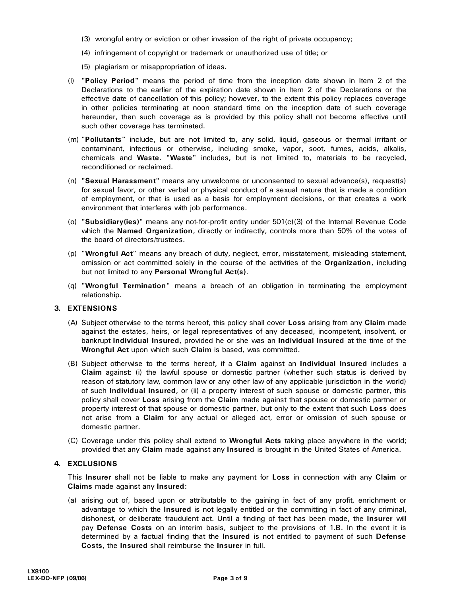- (3) wrongful entry or eviction or other invasion of the right of private occupancy;
- (4) infringement of copyright or trademark or unauthorized use of title; or
- (5) plagiarism or misappropriation of ideas.
- (l) **"Policy Period"** means the period of time from the inception date shown in Item 2 of the Declarations to the earlier of the expiration date shown in Item 2 of the Declarations or the effective date of cancellation of this policy; however, to the extent this policy replaces coverage in other policies terminating at noon standard time on the inception date of such coverage hereunder, then such coverage as is provided by this policy shall not become effective until such other coverage has terminated.
- (m) **"Pollutants"** include, but are not limited to, any solid, liquid, gaseous or thermal irritant or contaminant, infectious or otherwise, including smoke, vapor, soot, fumes, acids, alkalis, chemicals and **Waste**. **"Waste"** includes, but is not limited to, materials to be recycled, reconditioned or reclaimed.
- (n) **"Sexual Harassment"** means any unwelcome or unconsented to sexual advance(s), request(s) for sexual favor, or other verbal or physical conduct of a sexual nature that is made a condition of employment, or that is used as a basis for employment decisions, or that creates a work environment that interferes with job performance.
- (o) **"Subsidiary(ies)"** means any not-for-profit entity under 501(c)(3) of the Internal Revenue Code which the **Named Organization**, directly or indirectly, controls more than 50% of the votes of the board of directors/trustees.
- (p) **"Wrongful Act"** means any breach of duty, neglect, error, misstatement, misleading statement, omission or act committed solely in the course of the activities of the **Organization**, including but not limited to any **Personal Wrongful Act(s)**.
- (q) **"Wrongful Termination"** means a breach of an obligation in terminating the employment relationship.

### **3. EXTENSIONS**

- (A) Subject otherwise to the terms hereof, this policy shall cover **Loss** arising from any **Claim** made against the estates, heirs, or legal representatives of any deceased, incompetent, insolvent, or bankrupt **Individual Insured**, provided he or she was an **Individual Insured** at the time of the **Wrongful Act** upon which such **Claim** is based, was committed.
- (B) Subject otherwise to the terms hereof, if a **Claim** against an **Individual Insured** includes a **Claim** against: (i) the lawful spouse or domestic partner (whether such status is derived by reason of statutory law, common law or any other law of any applicable jurisdiction in the world) of such **Individual Insured**, or (ii) a property interest of such spouse or domestic partner, this policy shall cover **Loss** arising from the **Claim** made against that spouse or domestic partner or property interest of that spouse or domestic partner, but only to the extent that such **Loss** does not arise from a **Claim** for any actual or alleged act, error or omission of such spouse or domestic partner.
- (C) Coverage under this policy shall extend to **Wrongful Acts** taking place anywhere in the world; provided that any **Claim** made against any **Insured** is brought in the United States of America.

#### **4. EXCLUSIONS**

This **Insurer** shall not be liable to make any payment for **Loss** in connection with any **Claim** or **Claims** made against any **Insured**:

(a) arising out of, based upon or attributable to the gaining in fact of any profit, enrichment or advantage to which the **Insured** is not legally entitled or the committing in fact of any criminal, dishonest, or deliberate fraudulent act. Until a finding of fact has been made, the **Insurer** will pay **Defense Costs** on an interim basis, subject to the provisions of 1.B. In the event it is determined by a factual finding that the **Insured** is not entitled to payment of such **Defense Costs**, the **Insured** shall reimburse the **Insurer** in full.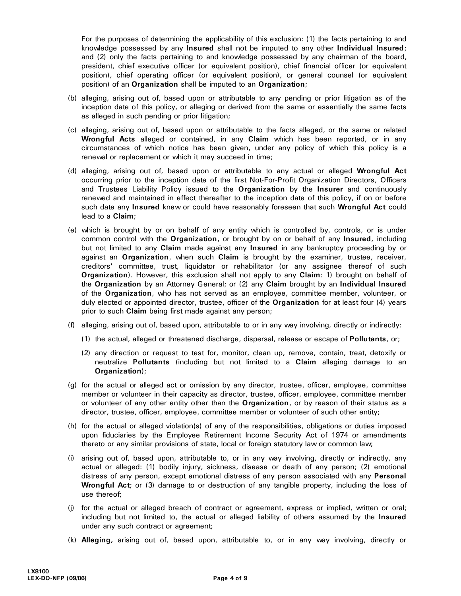For the purposes of determining the applicability of this exclusion: (1) the facts pertaining to and knowledge possessed by any **Insured** shall not be imputed to any other **Individual Insured**; and (2) only the facts pertaining to and knowledge possessed by any chairman of the board, president, chief executive officer (or equivalent position), chief financial officer (or equivalent position), chief operating officer (or equivalent position), or general counsel (or equivalent position) of an **Organization** shall be imputed to an **Organization**;

- (b) alleging, arising out of, based upon or attributable to any pending or prior litigation as of the inception date of this policy, or alleging or derived from the same or essentially the same facts as alleged in such pending or prior litigation;
- (c) alleging, arising out of, based upon or attributable to the facts alleged, or the same or related **Wrongful Acts** alleged or contained, in any **Claim** which has been reported, or in any circumstances of which notice has been given, under any policy of which this policy is a renewal or replacement or which it may succeed in time;
- (d) alleging, arising out of, based upon or attributable to any actual or alleged **Wrongful Act** occurring prior to the inception date of the first Not-For-Profit Organization Directors, Officers and Trustees Liability Policy issued to the **Organization** by the **Insurer** and continuously renewed and maintained in effect thereafter to the inception date of this policy, if on or before such date any **Insured** knew or could have reasonably foreseen that such **Wrongful Act** could lead to a **Claim**;
- (e) which is brought by or on behalf of any entity which is controlled by, controls, or is under common control with the **Organization**, or brought by on or behalf of any **Insured**, including but not limited to any **Claim** made against any **Insured** in any bankruptcy proceeding by or against an **Organization**, when such **Claim** is brought by the examiner, trustee, receiver, creditors' committee, trust, liquidator or rehabilitator (or any assignee thereof of such **Organization**). However, this exclusion shall not apply to any **Claim**: 1) brought on behalf of the **Organization** by an Attorney General; or (2) any **Claim** brought by an **Individual Insured** of the **Organization**, who has not served as an employee, committee member, volunteer, or duly elected or appointed director, trustee, officer of the **Organization** for at least four (4) years prior to such **Claim** being first made against any person;
- (f) alleging, arising out of, based upon, attributable to or in any way involving, directly or indirectly:
	- (1) the actual, alleged or threatened discharge, dispersal, release or escape of **Pollutants**, or;
	- (2) any direction or request to test for, monitor, clean up, remove, contain, treat, detoxify or neutralize **Pollutants** (including but not limited to a **Claim** alleging damage to an **Organization**);
- (g) for the actual or alleged act or omission by any director, trustee, officer, employee, committee member or volunteer in their capacity as director, trustee, officer, employee, committee member or volunteer of any other entity other than the **Organization**, or by reason of their status as a director, trustee, officer, employee, committee member or volunteer of such other entity;
- (h) for the actual or alleged violation(s) of any of the responsibilities, obligations or duties imposed upon fiduciaries by the Employee Retirement Income Security Act of 1974 or amendments thereto or any similar provisions of state, local or foreign statutory law or common law;
- (i) arising out of, based upon, attributable to, or in any way involving, directly or indirectly, any actual or alleged: (1) bodily injury, sickness, disease or death of any person; (2) emotional distress of any person, except emotional distress of any person associated with any **Personal Wrongful Act**; or (3) damage to or destruction of any tangible property, including the loss of use thereof;
- (j) for the actual or alleged breach of contract or agreement, express or implied, written or oral; including but not limited to, the actual or alleged liability of others assumed by the **Insured**  under any such contract or agreement;
- (k) **Alleging,** arising out of, based upon, attributable to, or in any way involving, directly or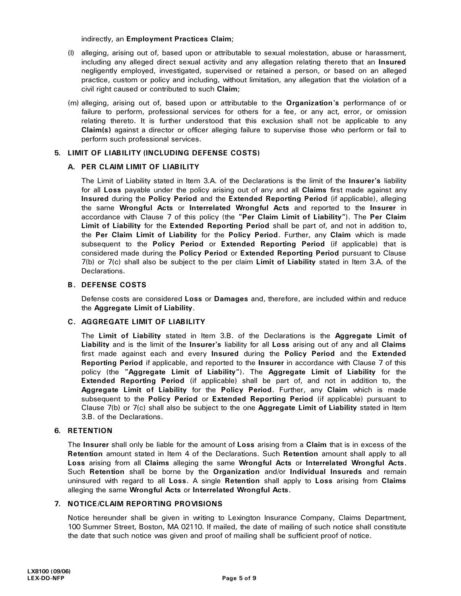indirectly, an **Employment Practices Claim**;

- (l) alleging, arising out of, based upon or attributable to sexual molestation, abuse or harassment, including any alleged direct sexual activity and any allegation relating thereto that an **Insured**  negligently employed, investigated, supervised or retained a person, or based on an alleged practice, custom or policy and including, without limitation, any allegation that the violation of a civil right caused or contributed to such **Claim**;
- (m) alleging, arising out of, based upon or attributable to the **Organization's** performance of or failure to perform, professional services for others for a fee, or any act, error, or omission relating thereto. It is further understood that this exclusion shall not be applicable to any **Claim(s)** against a director or officer alleging failure to supervise those who perform or fail to perform such professional services.

#### **5. LIMIT OF LIABILITY (INCLUDING DEFENSE COSTS)**

#### **A. PER CLAIM LIMIT OF LIABILITY**

The Limit of Liability stated in Item 3.A. of the Declarations is the limit of the **Insurer's** liability for all **Loss** payable under the policy arising out of any and all **Claims** first made against any **Insured** during the **Policy Period** and the **Extended Reporting Period** (if applicable), alleging the same **Wrongful Acts** or **Interrelated Wrongful Acts** and reported to the **Insurer** in accordance with Clause 7 of this policy (the **"Per Claim Limit of Liability"**). The **Per Claim Limit of Liability** for the **Extended Reporting Period** shall be part of, and not in addition to, the **Per Claim Limit of Liability** for the **Policy Period**. Further, any **Claim** which is made subsequent to the **Policy Period** or **Extended Reporting Period** (if applicable) that is considered made during the **Policy Period** or **Extended Reporting Period** pursuant to Clause 7(b) or 7(c) shall also be subject to the per claim **Limit of Liability** stated in Item 3.A. of the Declarations.

#### **B. DEFENSE COSTS**

Defense costs are considered **Loss** or **Damages** and, therefore, are included within and reduce the **Aggregate Limit of Liability**.

#### **C. AGGREGATE LIMIT OF LIABILITY**

The **Limit of Liability** stated in Item 3.B. of the Declarations is the **Aggregate Limit of Liability** and is the limit of the **Insurer's** liability for all **Loss** arising out of any and all **Claims** first made against each and every **Insured** during the **Policy Period** and the **Extended Reporting Period** if applicable, and reported to the **Insurer** in accordance with Clause 7 of this policy (the **"Aggregate Limit of Liability"**). The **Aggregate Limit of Liability** for the **Extended Reporting Period** (if applicable) shall be part of, and not in addition to, the **Aggregate Limit of Liability** for the **Policy Period**. Further, any **Claim** which is made subsequent to the **Policy Period** or **Extended Reporting Period** (if applicable) pursuant to Clause 7(b) or 7(c) shall also be subject to the one **Aggregate Limit of Liability** stated in Item 3.B. of the Declarations.

#### **6. RETENTION**

The **Insurer** shall only be liable for the amount of **Loss** arising from a **Claim** that is in excess of the **Retention** amount stated in Item 4 of the Declarations. Such **Retention** amount shall apply to all Loss arising from all Claims alleging the same Wrongful Acts or Interrelated Wrongful Acts.<br>Such Retention shall be borne by the Organization and/or Individual Insureds and remain uninsured with regard to all **Loss**. A single **Retention** shall apply to **Loss** arising from **Claims** alleging the same **Wrongful Acts** or **Interrelated Wrongful Acts**.

#### **7. NOTICE/CLAIM REPORTING PROVISIONS**

Notice hereunder shall be given in writing to Lexington Insurance Company, Claims Department, 100 Summer Street, Boston, MA 02110. If mailed, the date of mailing of such notice shall constitute the date that such notice was given and proof of mailing shall be sufficient proof of notice.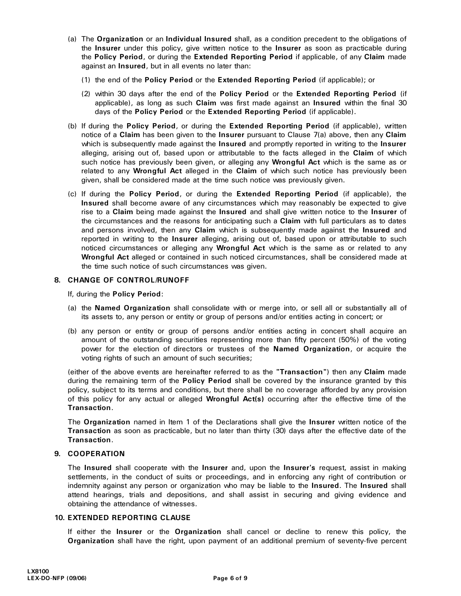- (a) The **Organization** or an **Individual Insured** shall, as a condition precedent to the obligations of the **Insurer** under this policy, give written notice to the **Insurer** as soon as practicable during the **Policy Period**, or during the **Extended Reporting Period** if applicable, of any **Claim** made against an **Insured**, but in all events no later than:
	- (1) the end of the **Policy Period** or the **Extended Reporting Period** (if applicable); or
	- (2) within 30 days after the end of the **Policy Period** or the **Extended Reporting Period** (if applicable), as long as such **Claim** was first made against an **Insured** within the final 30 days of the **Policy Period** or the **Extended Reporting Period** (if applicable).
- (b) If during the **Policy Period**, or during the **Extended Reporting Period** (if applicable), written notice of a **Claim** has been given to the **Insurer** pursuant to Clause 7(a) above, then any **Claim** which is subsequently made against the **Insured** and promptly reported in writing to the **Insurer** alleging, arising out of, based upon or attributable to the facts alleged in the **Claim** of which such notice has previously been given, or alleging any **Wrongful Act** which is the same as or related to any **Wrongful Act** alleged in the **Claim** of which such notice has previously been given, shall be considered made at the time such notice was previously given.
- (c) If during the **Policy Period**, or during the **Extended Reporting Period** (if applicable), the **Insured** shall become aware of any circumstances which may reasonably be expected to give rise to a **Claim** being made against the **Insured** and shall give written notice to the **Insurer** of the circumstances and the reasons for anticipating such a **Claim** with full particulars as to dates and persons involved, then any **Claim** which is subsequently made against the **Insured** and reported in writing to the **Insurer** alleging, arising out of, based upon or attributable to such noticed circumstances or alleging any **Wrongful Act** which is the same as or related to any **Wrongful Act** alleged or contained in such noticed circumstances, shall be considered made at the time such notice of such circumstances was given.

#### **8. CHANGE OF CONTROL/RUNOFF**

If, during the **Policy Period**:

- (a) the **Named Organization** shall consolidate with or merge into, or sell all or substantially all of its assets to, any person or entity or group of persons and/or entities acting in concert; or
- (b) any person or entity or group of persons and/or entities acting in concert shall acquire an amount of the outstanding securities representing more than fifty percent (50%) of the voting power for the election of directors or trustees of the **Named Organization**, or acquire the voting rights of such an amount of such securities;

(either of the above events are hereinafter referred to as the **"Transaction"**) then any **Claim** made during the remaining term of the **Policy Period** shall be covered by the insurance granted by this policy, subject to its terms and conditions, but there shall be no coverage afforded by any provision of this policy for any actual or alleged **Wrongful Act(s)** occurring after the effective time of the

**Transaction**. The **Organization** named in Item 1 of the Declarations shall give the **Insurer** written notice of the **Transaction** as soon as practicable, but no later than thirty (30) days after the effective date of the **Transaction**.

#### **9. COOPERATION**

The **Insured** shall cooperate with the **Insurer** and, upon the **Insurer's** request, assist in making settlements, in the conduct of suits or proceedings, and in enforcing any right of contribution or indemnity against any person or organization who may be liable to the **Insured**. The **Insured** shall attend hearings, trials and depositions, and shall assist in securing and giving evidence and obtaining the attendance of witnesses.

#### **10. EXTENDED REPORTING CLAUSE**

If either the **Insurer** or the **Organization** shall cancel or decline to renew this policy, the **Organization** shall have the right, upon payment of an additional premium of seventy-five percent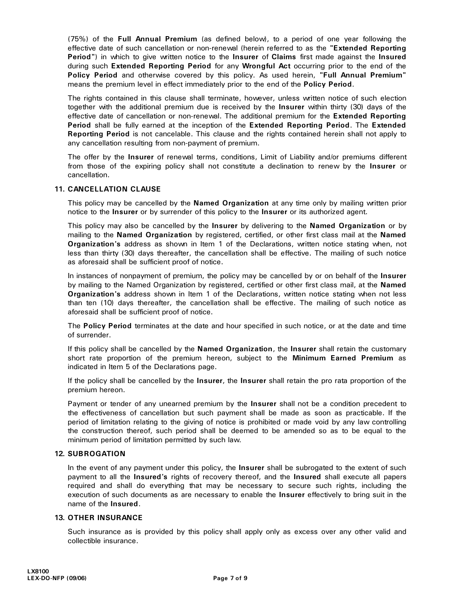(75%) of the **Full Annual Premium** (as defined below), to a period of one year following the effective date of such cancellation or non-renewal (herein referred to as the **"Extended Reporting Period"**) in which to give written notice to the **Insurer** of **Claims** first made against the **Insured** during such **Extended Reporting Period** for any **Wrongful Act** occurring prior to the end of the **Policy Period** and otherwise covered by this policy. As used herein, **"Full Annual Premium"**

means the premium level in effect immediately prior to the end of the **Policy Period.**<br>The rights contained in this clause shall terminate, however, unless written notice of such election together with the additional premium due is received by the **Insurer** within thirty (30) days of the effective date of cancellation or non-renewal. The additional premium for the **Extended Reporting Period** shall be fully earned at the inception of the **Extended Reporting Period**. The **Extended Reporting Period** is not cancelable. This clause and the rights contained herein shall not apply to any cancellation resulting from non-payment of premium.

The offer by the **Insurer** of renewal terms, conditions, Limit of Liability and/or premiums different from those of the expiring policy shall not constitute a declination to renew by the **Insurer** or cancellation.

#### **11. CANCELLATION CLAUSE**

This policy may be cancelled by the **Named Organization** at any time only by mailing written prior notice to the **Insurer** or by surrender of this policy to the **Insurer** or its authorized agent.

This policy may also be cancelled by the **Insurer** by delivering to the **Named Organization** or by mailing to the **Named Organization** by registered, certified, or other first class mail at the **Named Organization's** address as shown in Item 1 of the Declarations, written notice stating when, not less than thirty (30) days thereafter, the cancellation shall be effective. The mailing of such notice as aforesaid shall be sufficient proof of notice.

In instances of nonpayment of premium, the policy may be cancelled by or on behalf of the **Insurer** by mailing to the Named Organization by registered, certified or other first class mail, at the **Named Organization's** address shown in Item 1 of the Declarations, written notice stating when not less than ten (10) days thereafter, the cancellation shall be effective. The mailing of such notice as aforesaid shall be sufficient proof of notice.

The **Policy Period** terminates at the date and hour specified in such notice, or at the date and time of surrender.

If this policy shall be cancelled by the **Named Organization**, the **Insurer** shall retain the customary short rate proportion of the premium hereon, subject to the **Minimum Earned Premium** as indicated in Item 5 of the Declarations page.

If the policy shall be cancelled by the **Insurer**, the **Insurer** shall retain the pro rata proportion of the premium hereon.

Payment or tender of any unearned premium by the **Insurer** shall not be a condition precedent to the effectiveness of cancellation but such payment shall be made as soon as practicable. If the period of limitation relating to the giving of notice is prohibited or made void by any law controlling the construction thereof, such period shall be deemed to be amended so as to be equal to the minimum period of limitation permitted by such law.

#### **12. SUBROGATION**

In the event of any payment under this policy, the **Insurer** shall be subrogated to the extent of such payment to all the **Insured's** rights of recovery thereof, and the **Insured** shall execute all papers required and shall do everything that may be necessary to secure such rights, including the execution of such documents as are necessary to enable the **Insurer** effectively to bring suit in the name of the **Insured**.

#### **13. OTHER INSURANCE**

Such insurance as is provided by this policy shall apply only as excess over any other valid and collectible insurance.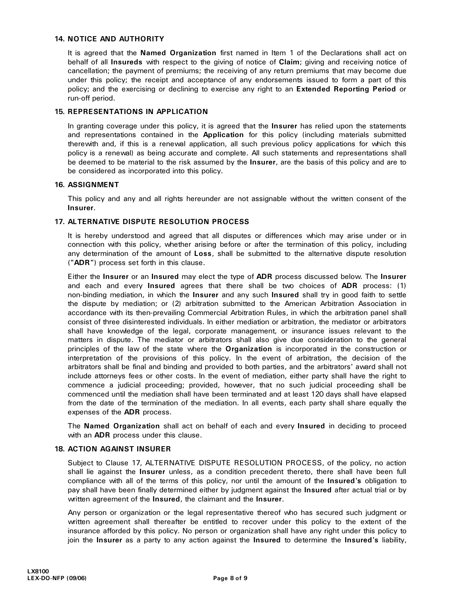#### **14. NOTICE AND AUTHORITY**

It is agreed that the **Named Organization** first named in Item 1 of the Declarations shall act on behalf of all **Insureds** with respect to the giving of notice of **Claim**; giving and receiving notice of cancellation; the payment of premiums; the receiving of any return premiums that may become due under this policy; the receipt and acceptance of any endorsements issued to form a part of this policy; and the exercising or declining to exercise any right to an **Extended Reporting Period** or run-off period.

#### **15. REPRESENTATIONS IN APPLICATION**

In granting coverage under this policy, it is agreed that the **Insurer** has relied upon the statements and representations contained in the **Application** for this policy (including materials submitted therewith and, if this is a renewal application, all such previous policy applications for which this policy is a renewal) as being accurate and complete. All such statements and representations shall be deemed to be material to the risk assumed by the **Insurer**, are the basis of this policy and are to be considered as incorporated into this policy.

#### **16. ASSIGNMENT**

This policy and any and all rights hereunder are not assignable without the written consent of the **Insurer**.

#### **17. ALTERNATIVE DISPUTE RESOLUTION PROCESS**

It is hereby understood and agreed that all disputes or differences which may arise under or in connection with this policy, whether arising before or after the termination of this policy, including any determination of the amount of **Loss**, shall be submitted to the alternative dispute resolution (**"ADR"**) process set forth in this clause.

Either the **Insurer** or an **Insured** may elect the type of **ADR** process discussed below. The **Insurer** and each and every **Insured** agrees that there shall be two choices of **ADR** process: (1) non-binding mediation, in which the **Insurer** and any such **Insured** shall try in good faith to settle the dispute by mediation; or (2) arbitration submitted to the American Arbitration Association in accordance with its then-prevailing Commercial Arbitration Rules, in which the arbitration panel shall consist of three disinterested individuals. In either mediation or arbitration, the mediator or arbitrators shall have knowledge of the legal, corporate management, or insurance issues relevant to the matters in dispute. The mediator or arbitrators shall also give due consideration to the general principles of the law of the state where the **Organization** is incorporated in the construction or interpretation of the provisions of this policy. In the event of arbitration, the decision of the arbitrators shall be final and binding and provided to both parties, and the arbitrators' award shall not include attorneys fees or other costs. In the event of mediation, either party shall have the right to commence a judicial proceeding; provided, however, that no such judicial proceeding shall be commenced until the mediation shall have been terminated and at least 120 days shall have elapsed from the date of the termination of the mediation. In all events, each party shall share equally the expenses of the **ADR** process.

The **Named Organization** shall act on behalf of each and every **Insured** in deciding to proceed with an **ADR** process under this clause.

#### **18. ACTION AGAINST INSURER**

Subject to Clause 17, ALTERNATIVE DISPUTE RESOLUTION PROCESS, of the policy, no action shall lie against the **Insurer** unless, as a condition precedent thereto, there shall have been full compliance with all of the terms of this policy, nor until the amount of the **Insured's** obligation to pay shall have been finally determined either by judgment against the **Insured** after actual trial or by written agreement of the **Insured**, the claimant and the **Insurer**.<br>Any person or organization or the legal representative thereof who has secured such judgment or

written agreement shall thereafter be entitled to recover under this policy to the extent of the insurance afforded by this policy. No person or organization shall have any right under this policy to join the **Insurer** as a party to any action against the **Insured** to determine the **Insured's** liability,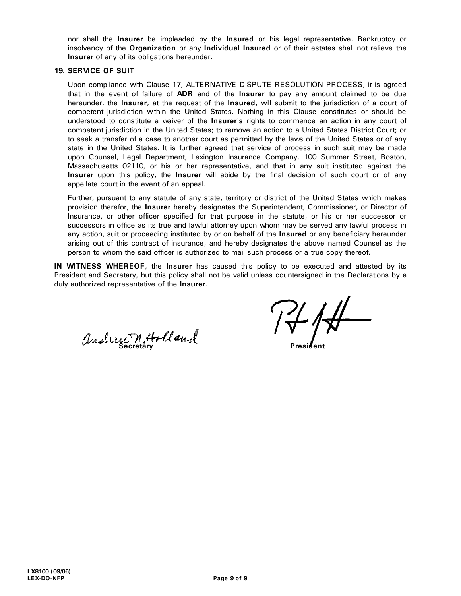nor shall the **Insurer** be impleaded by the **Insured** or his legal representative. Bankruptcy or insolvency of the **Organization** or any **Individual Insured** or of their estates shall not relieve the **Insurer** of any of its obligations hereunder.

#### **19. SERVICE OF SUIT**

Upon compliance with Clause 17, ALTERNATIVE DISPUTE RESOLUTION PROCESS, it is agreed that in the event of failure of **ADR** and of the **Insurer** to pay any amount claimed to be due hereunder, the **Insurer**, at the request of the **Insured**, will submit to the jurisdiction of a court of competent jurisdiction within the United States. Nothing in this Clause constitutes or should be understood to constitute a waiver of the **Insurer's** rights to commence an action in any court of competent jurisdiction in the United States; to remove an action to a United States District Court; or to seek a transfer of a case to another court as permitted by the laws of the United States or of any state in the United States. It is further agreed that service of process in such suit may be made upon Counsel, Legal Department, Lexington Insurance Company, 100 Summer Street, Boston, Massachusetts 02110, or his or her representative, and that in any suit instituted against the **Insurer** upon this policy, the **Insurer** will abide by the final decision of such court or of any appellate court in the event of an appeal.

Further, pursuant to any statute of any state, territory or district of the United States which makes provision therefor, the **Insurer** hereby designates the Superintendent, Commissioner, or Director of Insurance, or other officer specified for that purpose in the statute, or his or her successor or successors in office as its true and lawful attorney upon whom may be served any lawful process in any action, suit or proceeding instituted by or on behalf of the **Insured** or any beneficiary hereunder arising out of this contract of insurance, and hereby designates the above named Counsel as the person to whom the said officer is authorized to mail such process or a true copy thereof.

**IN WITNESS WHEREOF**, the **Insurer** has caused this policy to be executed and attested by its President and Secretary, but this policy shall not be valid unless countersigned in the Declarations by a duly authorized representative of the **Insurer**.

andrew M. Holland 1 v President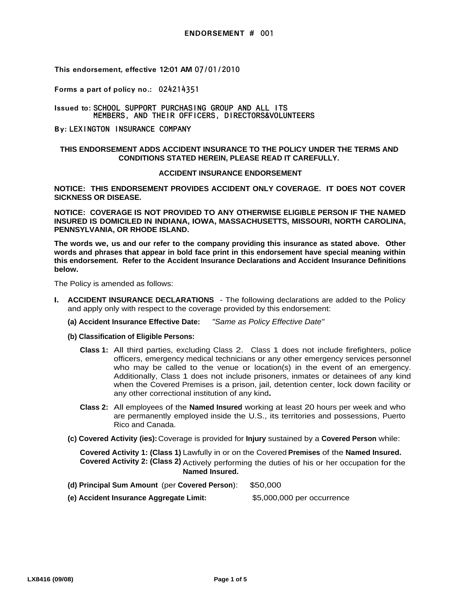**Forms a part of policy no.:** 024214351

**Issued to:** SCHOOL SUPPORT PURCHASING GROUP AND ALL ITS MEMBERS, AND THEIR OFFICERS, DIRECTORS&VOLUNTEERS

**By:** LEXINGTON INSURANCE COMPANY

#### **THIS ENDORSEMENT ADDS ACCIDENT INSURANCE TO THE POLICY UNDER THE TERMS AND CONDITIONS STATED HEREIN, PLEASE READ IT CAREFULLY.**

#### **ACCIDENT INSURANCE ENDORSEMENT**

**NOTICE: THIS ENDORSEMENT PROVIDES ACCIDENT ONLY COVERAGE. IT DOES NOT COVER SICKNESS OR DISEASE.** 

**NOTICE: COVERAGE IS NOT PROVIDED TO ANY OTHERWISE ELIGIBLE PERSON IF THE NAMED INSURED IS DOMICILED IN INDIANA, IOWA, MASSACHUSETTS, MISSOURI, NORTH CAROLINA, PENNSYLVANIA, OR RHODE ISLAND.** 

**The words we, us and our refer to the company providing this insurance as stated above. Other words and phrases that appear in bold face print in this endorsement have special meaning within this endorsement. Refer to the Accident Insurance Declarations and Accident Insurance Definitions below.** 

The Policy is amended as follows:

- **I.** ACCIDENT INSURANCE DECLARATIONS The following declarations are added to the Policy and apply only with respect to the coverage provided by this endorsement:
	- **(a) Accident Insurance Effective Date:** "Same as Policy Effective Date"
	- **(b) Classification of Eligible Persons:**
		- **Class 1:** All third parties, excluding Class 2. Class 1 does not include firefighters, police officers, emergency medical technicians or any other emergency services personnel who may be called to the venue or location(s) in the event of an emergency. Additionally, Class 1 does not include prisoners, inmates or detainees of any kind when the Covered Premises is a prison, jail, detention center, lock down facility or any other correctional institution of any kind**.**
		- **Class 2:** All employees of the **Named Insured** working at least 20 hours per week and who are permanently employed inside the U.S., its territories and possessions, Puerto Rico and Canada.
	- (c) Covered Activity (ies): Coverage is provided for Injury sustained by a Covered Person while:

**Covered Activity 1: (Class 1)** Lawfully in or on the Covered **Premises** of the **Named Insured. Covered Activity 2: (Class 2)** Actively performing the duties of his or her occupation for the **Named Insured.** 

- **(d) Principal Sum Amount** (per **Covered Person**): \$50,000
- **(e) Accident Insurance Aggregate Limit:** \$5,000,000 per occurrence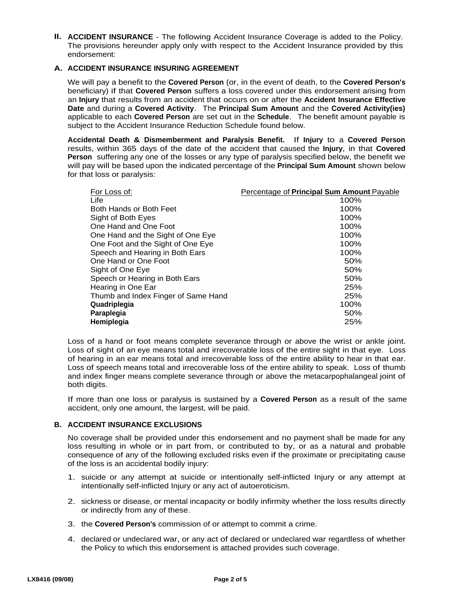**II. ACCIDENT INSURANCE** - The following Accident Insurance Coverage is added to the Policy. The provisions hereunder apply only with respect to the Accident Insurance provided by this endorsement:

### A. ACCIDENT INSURANCE INSURING AGREEMENT

We will pay a benefit to the **Covered Person** (or, in the event of death, to the **Covered Person's**  beneficiary) if that **Covered Person** suffers a loss covered under this endorsement arising from an **Injury** that results from an accident that occurs on or after the **Accident Insurance Effective Date** and during a **Covered Activity**. The **Principal Sum Amount** and the **Covered Activity(ies)** applicable to each **Covered Person** are set out in the **Schedule**. The benefit amount payable is subject to the Accident Insurance Reduction Schedule found below.

**Accidental Death & Dismemberment and Paralysis Benefit.** If **Injury** to a **Covered Person** results, within 365 days of the date of the accident that caused the **Injury**, in that **Covered Person** suffering any one of the losses or any type of paralysis specified below, the benefit we will pay will be based upon the indicated percentage of the **Principal Sum Amount** shown below for that loss or paralysis:

| For Loss of:                        | Percentage of <b>Principal Sum Amount</b> Payable |
|-------------------------------------|---------------------------------------------------|
| Life                                | 100%                                              |
| Both Hands or Both Feet             | 100%                                              |
| Sight of Both Eyes                  | 100%                                              |
| One Hand and One Foot               | 100%                                              |
| One Hand and the Sight of One Eye   | 100%                                              |
| One Foot and the Sight of One Eye   | 100%                                              |
| Speech and Hearing in Both Ears     | 100%                                              |
| One Hand or One Foot                | 50%                                               |
| Sight of One Eye                    | 50%                                               |
| Speech or Hearing in Both Ears      | 50%                                               |
| Hearing in One Ear                  | 25%                                               |
| Thumb and Index Finger of Same Hand | 25%                                               |
| Quadriplegia                        | 100%                                              |
| Paraplegia                          | 50%                                               |
| Hemiplegia                          | 25%                                               |

Loss of a hand or foot means complete severance through or above the wrist or ankle joint. Loss of sight of an eye means total and irrecoverable loss of the entire sight in that eye. Loss of hearing in an ear means total and irrecoverable loss of the entire ability to hear in that ear. Loss of speech means total and irrecoverable loss of the entire ability to speak. Loss of thumb and index finger means complete severance through or above the metacarpophalangeal joint of both digits.

If more than one loss or paralysis is sustained by a **Covered Person** as a result of the same accident, only one amount, the largest, will be paid.

#### **ACCIDENT INSURANCE EXCLUSIONS B.**

No coverage shall be provided under this endorsement and no payment shall be made for any loss resulting in whole or in part from, or contributed to by, or as a natural and probable consequence of any of the following excluded risks even if the proximate or precipitating cause of the loss is an accidental bodily injury:

- 1. suicide or any attempt at suicide or intentionally self-inflicted Injury or any attempt at intentionally self-inflicted Injury or any act of autoeroticism.
- 2. sickness or disease, or mental incapacity or bodily infirmity whether the loss results directly or indirectly from any of these.
- 3. the **Covered Person's** commission of or attempt to commit a crime.
- 4. declared or undeclared war, or any act of declared or undeclared war regardless of whether the Policy to which this endorsement is attached provides such coverage.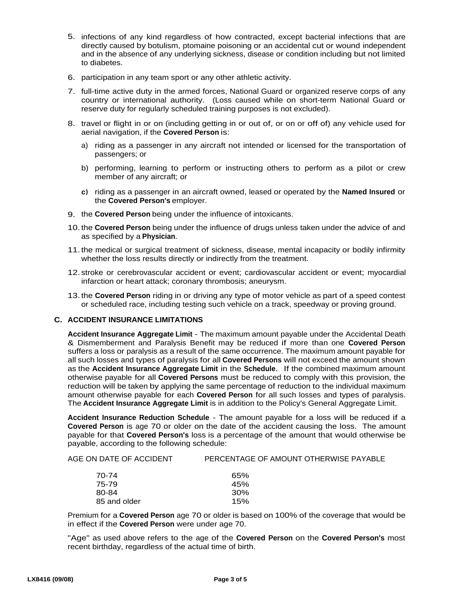- 5. infections of any kind regardless of how contracted, except bacterial infections that are directly caused by botulism, ptomaine poisoning or an accidental cut or wound independent and in the absence of any underlying sickness, disease or condition including but not limited to diabetes.
- 6. participation in any team sport or any other athletic activity.
- 7. full-time active duty in the armed forces, National Guard or organized reserve corps of any country or international authority. (Loss caused while on short-term National Guard or reserve duty for regularly scheduled training purposes is not excluded).
- 8. travel or flight in or on (including getting in or out of, or on or off of) any vehicle used for aerial navigation, if the **Covered Person** is:
	- a) riding as a passenger in any aircraft not intended or licensed for the transportation of passengers; or
	- b) performing, learning to perform or instructing others to perform as a pilot or crew member of any aircraft; or
	- **c)** riding as a passenger in an aircraft owned, leased or operated by the **Named Insured** or the **Covered Person's** employer.
- 9. the **Covered Person** being under the influence of intoxicants.
- 10. the **Covered Person** being under the influence of drugs unless taken under the advice of and as specified by a **Physician**.
- 11. the medical or surgical treatment of sickness, disease, mental incapacity or bodily infirmity whether the loss results directly or indirectly from the treatment.
- 12. stroke or cerebrovascular accident or event; cardiovascular accident or event; myocardial infarction or heart attack; coronary thrombosis; aneurysm.
- 13. the **Covered Person** riding in or driving any type of motor vehicle as part of a speed contest or scheduled race, including testing such vehicle on a track, speedway or proving ground.

### **C. ACCIDENT INSURANCE LIMITATIONS**

**Accident Insurance Aggregate Limit** - The maximum amount payable under the Accidental Death & Dismemberment and Paralysis Benefit may be reduced if more than one **Covered Person** suffers a loss or paralysis as a result of the same occurrence. The maximum amount payable for all such losses and types of paralysis for all **Covered Persons** will not exceed the amount shown as the **Accident Insurance Aggregate Limit** in the **Schedule**. If the combined maximum amount otherwise payable for all **Covered Persons** must be reduced to comply with this provision, the reduction will be taken by applying the same percentage of reduction to the individual maximum amount otherwise payable for each **Covered Person** for all such losses and types of paralysis. The **Accident Insurance Aggregate Limit** is in addition to the Policy's General Aggregate Limit.

**Accident Insurance Reduction Schedule** - The amount payable for a loss will be reduced if a **Covered Person** is age 70 or older on the date of the accident causing the loss. The amount payable for that **Covered Person's** loss is a percentage of the amount that would otherwise be payable, according to the following schedule:

| AGE ON DATE OF ACCIDENT | PERCENTAGE OF AMOUNT OTHERWISE PAYABLE |
|-------------------------|----------------------------------------|
| 70-74                   | 65%                                    |
| 75-79                   | 45%                                    |
| 80-84                   | 30 <sup>%</sup>                        |

85 and older 15%

Premium for a **Covered Person** age 70 or older is based on 100% of the coverage that would be in effect if the **Covered Person** were under age 70.

"Age" as used above refers to the age of the **Covered Person** on the **Covered Person's** most recent birthday, regardless of the actual time of birth.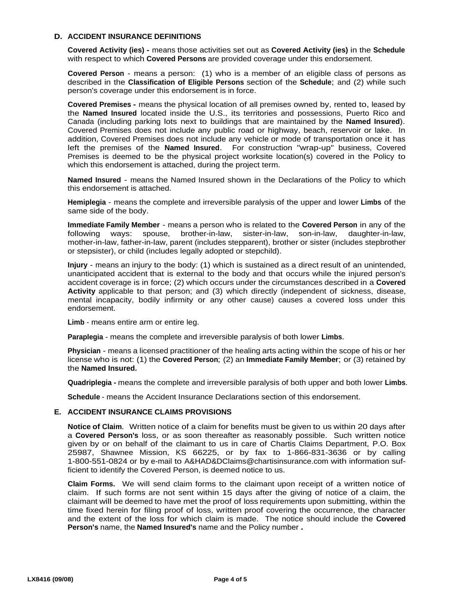#### **ACCIDENT INSURANCE DEFINITIONS D.**

**Covered Activity (ies) -** means those activities set out as **Covered Activity (ies)** in the **Schedule** with respect to which **Covered Persons** are provided coverage under this endorsement.

**Covered Person** - means a person: (1) who is a member of an eligible class of persons as described in the **Classification of Eligible Persons** section of the **Schedule**; and (2) while such person's coverage under this endorsement is in force.

**Covered Premises -** means the physical location of all premises owned by, rented to, leased by the **Named Insured** located inside the U.S., its territories and possessions, Puerto Rico and Canada (including parking lots next to buildings that are maintained by the **Named Insured**). Covered Premises does not include any public road or highway, beach, reservoir or lake. In addition, Covered Premises does not include any vehicle or mode of transportation once it has left the premises of the **Named Insured**. For construction "wrap-up" business, Covered Premises is deemed to be the physical project worksite location(s) covered in the Policy to which this endorsement is attached, during the project term.

**Named Insured** - means the Named Insured shown in the Declarations of the Policy to which this endorsement is attached.

**Hemiplegia** - means the complete and irreversible paralysis of the upper and lower **Limbs** of the same side of the body.

**Immediate Family Member** - means a person who is related to the **Covered Person** in any of the following ways: spouse, brother-in-law, sister-in-law, son-in-law, daughter-in-law, mother-in-law, father-in-law, parent (includes stepparent), brother or sister (includes stepbrother or stepsister), or child (includes legally adopted or stepchild).

**Injury** - means an injury to the body: (1) which is sustained as a direct result of an unintended, unanticipated accident that is external to the body and that occurs while the injured person's accident coverage is in force; (2) which occurs under the circumstances described in a **Covered Activity** applicable to that person; and (3) which directly (independent of sickness, disease, mental incapacity, bodily infirmity or any other cause) causes a covered loss under this endorsement.

**Limb** - means entire arm or entire leg.

**Paraplegia** - means the complete and irreversible paralysis of both lower **Limbs**.

**Physician** - means a licensed practitioner of the healing arts acting within the scope of his or her license who is not: (1) the **Covered Person**; (2) an **Immediate Family Member**; or (3) retained by the **Named Insured.** 

**Quadriplegia -** means the complete and irreversible paralysis of both upper and both lower **Limbs**.

**Schedule** - means the Accident Insurance Declarations section of this endorsement.

#### **E. ACCIDENT INSURANCE CLAIMS PROVISIONS**

**Notice of Claim**. Written notice of a claim for benefits must be given to us within 20 days after a **Covered Person's** loss, or as soon thereafter as reasonably possible. Such written notice given by or on behalf of the claimant to us in care of Chartis Claims Department, P.O. Box 25987, Shawnee Mission, KS 66225, or by fax to 1-866-831-3636 or by calling 1-800-551-0824 or by e-mail to A&HAD&DClaims@chartisinsurance.com with information sufficient to identify the Covered Person, is deemed notice to us.

**Claim Forms.** We will send claim forms to the claimant upon receipt of a written notice of claim. If such forms are not sent within 15 days after the giving of notice of a claim, the claimant will be deemed to have met the proof of loss requirements upon submitting, within the time fixed herein for filing proof of loss, written proof covering the occurrence, the character and the extent of the loss for which claim is made. The notice should include the **Covered Person's** name, the **Named Insured's** name and the Policy number **.**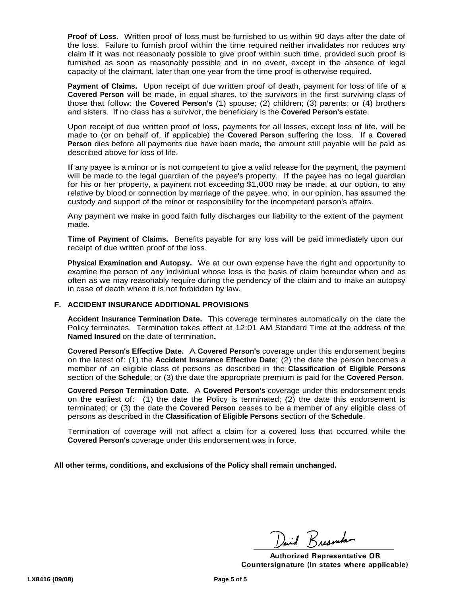**Proof of Loss.** Written proof of loss must be furnished to us within 90 days after the date of the loss. Failure to furnish proof within the time required neither invalidates nor reduces any claim if it was not reasonably possible to give proof within such time, provided such proof is furnished as soon as reasonably possible and in no event, except in the absence of legal capacity of the claimant, later than one year from the time proof is otherwise required.

**Payment of Claims.** Upon receipt of due written proof of death, payment for loss of life of a **Covered Person** will be made, in equal shares, to the survivors in the first surviving class of those that follow: the **Covered Person's** (1) spouse; (2) children; (3) parents; or (4) brothers and sisters. If no class has a survivor, the beneficiary is the **Covered Person's** estate.

Upon receipt of due written proof of loss, payments for all losses, except loss of life, will be made to (or on behalf of, if applicable) the **Covered Person** suffering the loss. If a **Covered Person** dies before all payments due have been made, the amount still payable will be paid as described above for loss of life.

If any payee is a minor or is not competent to give a valid release for the payment, the payment will be made to the legal guardian of the payee's property. If the payee has no legal guardian for his or her property, a payment not exceeding \$1,000 may be made, at our option, to any relative by blood or connection by marriage of the payee, who, in our opinion, has assumed the custody and support of the minor or responsibility for the incompetent person's affairs.

Any payment we make in good faith fully discharges our liability to the extent of the payment made.

**Time of Payment of Claims.** Benefits payable for any loss will be paid immediately upon our receipt of due written proof of the loss.

**Physical Examination and Autopsy.** We at our own expense have the right and opportunity to examine the person of any individual whose loss is the basis of claim hereunder when and as often as we may reasonably require during the pendency of the claim and to make an autopsy in case of death where it is not forbidden by law.

#### **F. ACCIDENT INSURANCE ADDITIONAL PROVISIONS**

**Accident Insurance Termination Date.** This coverage terminates automatically on the date the Policy terminates. Termination takes effect at 12:01 AM Standard Time at the address of the **Named Insured** on the date of termination.<br>Covered Person's Effective Date. A Covered Person's coverage under this endorsement begins

on the latest of: (1) the **Accident Insurance Effective Date**; (2) the date the person becomes a member of an eligible class of persons as described in the **Classification of Eligible Persons** section of the **Schedule**; or (3) the date the appropriate premium is paid for the **Covered Person**.

**Covered Person Termination Date.** A **Covered Person's** coverage under this endorsement ends on the earliest of: (1) the date the Policy is terminated; (2) the date this endorsement is terminated; or (3) the date the **Covered Person** ceases to be a member of any eligible class of persons as described in the **Classification of Eligible Persons** section of the **Schedule**. Termination of coverage will not affect a claim for a covered loss that occurred while the

**Covered Person's** coverage under this endorsement was in force.

**All other terms, conditions, and exclusions of the Policy shall remain unchanged.**

David Reesembar

**Authorized Representative OR Countersignature (In states where applicable)**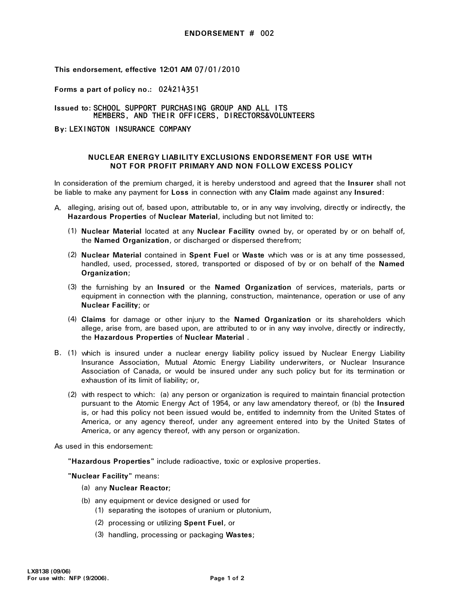**Forms a part of policy no.:** 024214351

#### **Issued to:** SCHOOL SUPPORT PURCHASING GROUP AND ALL ITS MEMBERS, AND THEIR OFFICERS, DIRECTORS&VOLUNTEERS

**By:** LEXINGTON INSURANCE COMPANY

#### **NUCLEAR ENERGY LIABILITY EXCLUSIONS ENDORSEMENT FOR USE WITH NOT FOR PROFIT PRIMARY AND NON FOLLOW EXCESS POLICY**

In consideration of the premium charged, it is hereby understood and agreed that the **Insurer** shall not be liable to make any payment for **Loss** in connection with any **Claim** made against any **Insured**:

- A. alleging, arising out of, based upon, attributable to, or in any way involving, directly or indirectly, the **Hazardous Properties** of **Nuclear Material**, including but not limited to:
	- (1) **Nuclear Material** located at any **Nuclear Facility** owned by, or operated by or on behalf of, the **Named Organization**, or discharged or dispersed therefrom;
	- (2) **Nuclear Material** contained in **Spent Fuel** or **Waste** which was or is at any time possessed, handled, used, processed, stored, transported or disposed of by or on behalf of the **Named Organization**;
	- (3) the furnishing by an **Insured** or the **Named Organization** of services, materials, parts or equipment in connection with the planning, construction, maintenance, operation or use of any **Nuclear Facility**; or
	- (4) **Claims** for damage or other injury to the **Named Organization** or its shareholders which allege, arise from, are based upon, are attributed to or in any way involve, directly or indirectly, the Hazardous Properties of Nuclear Material.
- B. (1) the **Hazardous Properties** of **Nuclear Material** . which is insured under a nuclear energy liability policy issued by Nuclear Energy Liability Insurance Association, Mutual Atomic Energy Liability underwriters, or Nuclear Insurance Association of Canada, or would be insured under any such policy but for its termination or exhaustion of its limit of liability; or,
	- (2) with respect to which: (a) any person or organization is required to maintain financial protection pursuant to the Atomic Energy Act of 1954, or any law amendatory thereof, or (b) the **Insured**  is, or had this policy not been issued would be, entitled to indemnity from the United States of America, or any agency thereof, under any agreement entered into by the United States of America, or any agency thereof, with any person or organization.

As used in this endorsement:

**"Hazardous Properties"** include radioactive, toxic or explosive properties.

**"Nuclear Facility"** means:

- (a) any **Nuclear Reactor**;
- (b) any equipment or device designed or used for
	- (1) separating the isotopes of uranium or plutonium,
	- (2) processing or utilizing **Spent Fuel**, or
	- (3) handling, processing or packaging **Wastes**;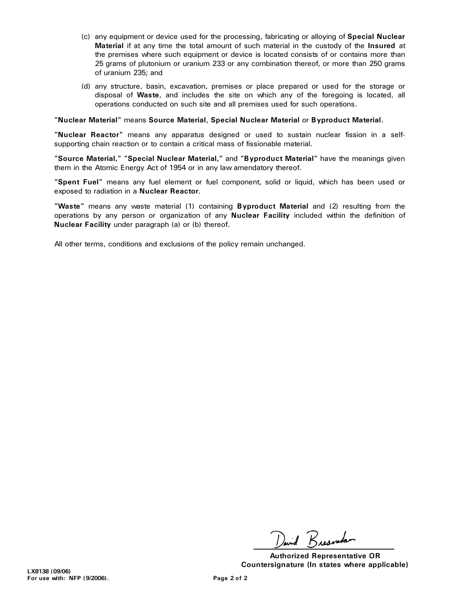- (c) any equipment or device used for the processing, fabricating or alloying of **Special Nuclear Material** if at any time the total amount of such material in the custody of the **Insured** at the premises where such equipment or device is located consists of or contains more than 25 grams of plutonium or uranium 233 or any combination thereof, or more than 250 grams of uranium 235; and
- (d) any structure, basin, excavation, premises or place prepared or used for the storage or disposal of **Waste**, and includes the site on which any of the foregoing is located, all operations conducted on such site and all premises used for such operations.

#### **"Nuclear Material"** means **Source Material**, **Special Nuclear Material** or **Byproduct Material**.

**"Nuclear Reactor"** means any apparatus designed or used to sustain nuclear fission in a selfsupporting chain reaction or to contain a critical mass of fissionable material.

**"Source Material," "Special Nuclear Material,"** and **"Byproduct Material"** have the meanings given them in the Atomic Energy Act of 1954 or in any law amendatory thereof.

**"Spent Fuel"** means any fuel element or fuel component, solid or liquid, which has been used or exposed to radiation in a **Nuclear Reactor**.

**"Waste"** means any waste material (1) containing **Byproduct Material** and (2) resulting from the operations by any person or organization of any **Nuclear Facility** included within the definition of **Nuclear Facility** under paragraph (a) or (b) thereof.

All other terms, conditions and exclusions of the policy remain unchanged.

David Reservator

**Authorized Representative OR Countersignature (In states where applicable)**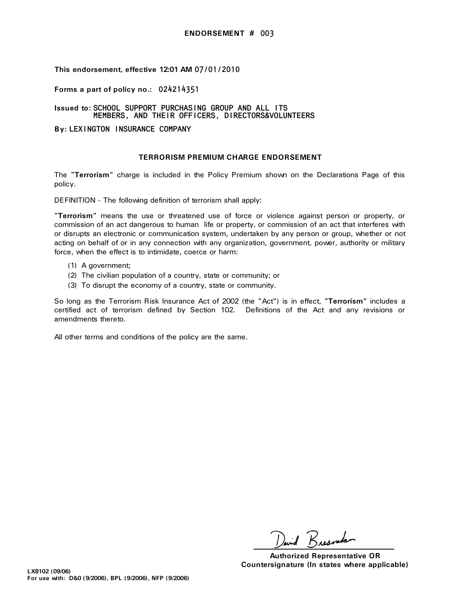**Forms a part of policy no.:** 024214351

**Issued to:** SCHOOL SUPPORT PURCHASING GROUP AND ALL ITS MEMBERS, AND THEIR OFFICERS, DIRECTORS&VOLUNTEERS

**By:** LEXINGTON INSURANCE COMPANY

#### **TERRORISM PREMIUM CHARGE ENDORSEMENT**

The **"Terrorism"** charge is included in the Policy Premium shown on the Declarations Page of this policy.

DEFINITION - The following definition of terrorism shall apply:

**"Terrorism"** means the use or threatened use of force or violence against person or property, or commission of an act dangerous to human life or property, or commission of an act that interferes with or disrupts an electronic or communication system, undertaken by any person or group, whether or not acting on behalf of or in any connection with any organization, government, power, authority or military force, when the effect is to intimidate, coerce or harm:

- (1) A government;
- (2) The civilian population of a country, state or community; or
- To disrupt the economy of a country, state or community. (3)

So long as the Terrorism Risk Insurance Act of 2002 (the "Act") is in effect, **"Terrorism"** includes a certified act of terrorism defined by Section 102. Definitions of the Act and any revisions or amendments thereto.

All other terms and conditions of the policy are the same.

David Reggerator

**Authorized Representative OR Countersignature (In states where applicable)**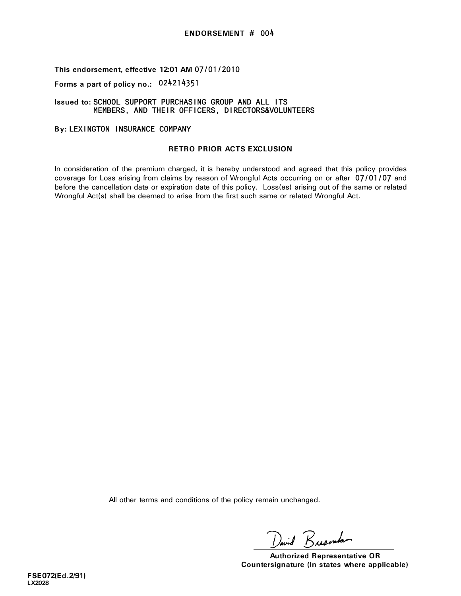## **Forms a part of policy no.:** 024214351

#### **Issued to:** SCHOOL SUPPORT PURCHASING GROUP AND ALL ITS MEMBERS, AND THEIR OFFICERS, DIRECTORS&VOLUNTEERS

### **By:** LEXINGTON INSURANCE COMPANY

#### **RETRO PRIOR ACTS EXCLUSION**

In consideration of the premium charged, it is hereby understood and agreed that this policy provides coverage for Loss arising from claims by reason of Wrongful Acts occurring on or after 07/01/07 and before the cancellation date or expiration date of this policy. Loss(es) arising out of the same or related Wrongful Act(s) shall be deemed to arise from the first such same or related Wrongful Act.

All other terms and conditions of the policy remain unchanged.

avid Reservation

**Authorized Representative OR Countersignature (In states where applicable)**